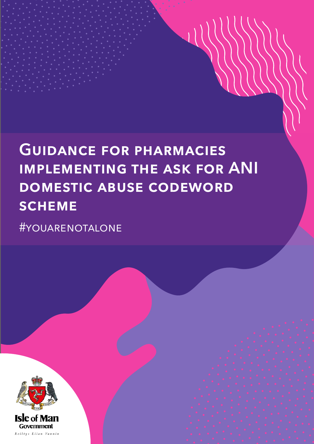# Guidance for pharmacies implementing the ask for ANI domestic abuse codeword **SCHEME**

#youarenotalone



Government ys Ellan Vannin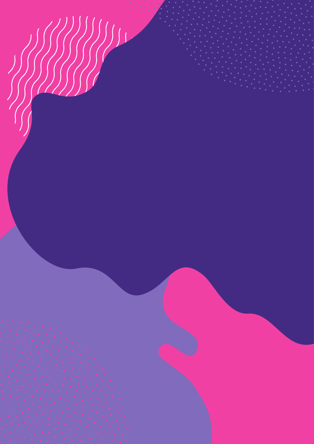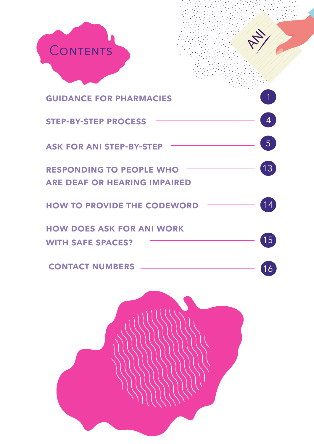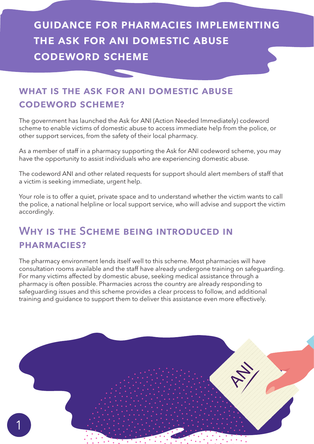# GUIDANCE FOR PHARMACIES IMPLEMENTING THE ASK FOR ANI DOMESTIC ABUSE CODEWORD SCHEME

## WHAT IS THE ASK FOR ANI DOMESTIC ABUSE codeword scheme?

The government has launched the Ask for ANI (Action Needed Immediately) codeword scheme to enable victims of domestic abuse to access immediate help from the police, or other support services, from the safety of their local pharmacy.

As a member of staff in a pharmacy supporting the Ask for ANI codeword scheme, you may have the opportunity to assist individuals who are experiencing domestic abuse.

The codeword ANI and other related requests for support should alert members of staff that a victim is seeking immediate, urgent help.

Your role is to offer a quiet, private space and to understand whether the victim wants to call the police, a national helpline or local support service, who will advise and support the victim accordingly.

## WHY IS THE SCHEME BEING INTRODUCED IN pharmacies?

The pharmacy environment lends itself well to this scheme. Most pharmacies will have consultation rooms available and the staff have already undergone training on safeguarding. For many victims affected by domestic abuse, seeking medical assistance through a pharmacy is often possible. Pharmacies across the country are already responding to safeguarding issues and this scheme provides a clear process to follow, and additional training and guidance to support them to deliver this assistance even more effectively.

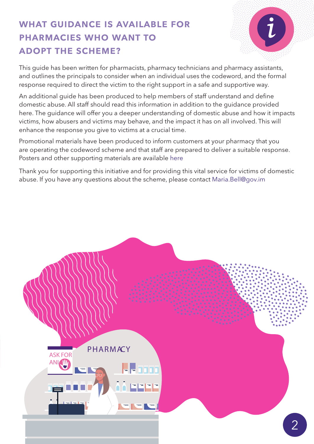## WHAT GUIDANCE IS AVAILABLE FOR pharmacies who want to adopt the scheme?



This guide has been written for pharmacists, pharmacy technicians and pharmacy assistants, and outlines the principals to consider when an individual uses the codeword, and the formal response required to direct the victim to the right support in a safe and supportive way.

An additional guide has been produced to help members of staff understand and define domestic abuse. All staff should read this information in addition to the guidance provided here. The guidance will offer you a deeper understanding of domestic abuse and how it impacts victims, how abusers and victims may behave, and the impact it has on all involved. This will enhance the response you give to victims at a crucial time.

Promotional materials have been produced to inform customers at your pharmacy that you are operating the codeword scheme and that staff are prepared to deliver a suitable response. Posters and other supporting materials are available [here](https://www.gov.im//domesticabuse)

Thank you for supporting this initiative and for providing this vital service for victims of domestic abuse. If you have any questions about the scheme, please contact Maria.Bell@gov.im

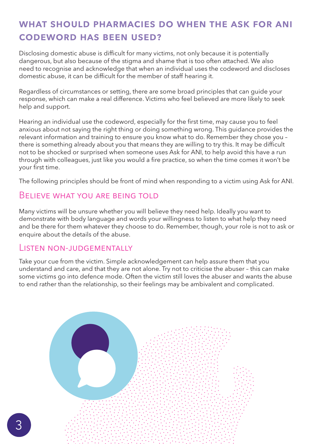## WHAT SHOULD PHARMACIES DO WHEN THE ASK FOR ANI CODEWORD HAS BEEN USED?

Disclosing domestic abuse is difficult for many victims, not only because it is potentially dangerous, but also because of the stigma and shame that is too often attached. We also need to recognise and acknowledge that when an individual uses the codeword and discloses domestic abuse, it can be difficult for the member of staff hearing it.

Regardless of circumstances or setting, there are some broad principles that can guide your response, which can make a real difference. Victims who feel believed are more likely to seek help and support.

Hearing an individual use the codeword, especially for the first time, may cause you to feel anxious about not saying the right thing or doing something wrong. This guidance provides the relevant information and training to ensure you know what to do. Remember they chose you – there is something already about you that means they are willing to try this. It may be difficult not to be shocked or surprised when someone uses Ask for ANI, to help avoid this have a run through with colleagues, just like you would a fire practice, so when the time comes it won't be your first time.

The following principles should be front of mind when responding to a victim using Ask for ANI.

#### BELIEVE WHAT YOU ARE BEING TOLD

Many victims will be unsure whether you will believe they need help. Ideally you want to demonstrate with body language and words your willingness to listen to what help they need and be there for them whatever they choose to do. Remember, though, your role is not to ask or enquire about the details of the abuse.

#### Listen non-judgementally

Take your cue from the victim. Simple acknowledgement can help assure them that you understand and care, and that they are not alone. Try not to criticise the abuser – this can make some victims go into defence mode. Often the victim still loves the abuser and wants the abuse to end rather than the relationship, so their feelings may be ambivalent and complicated.

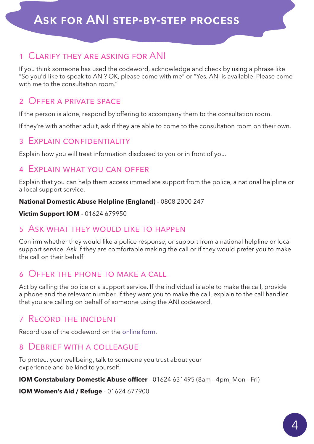### 1 Clarify they are asking for ANI

If you think someone has used the codeword, acknowledge and check by using a phrase like "So you'd like to speak to ANI? OK, please come with me" or "Yes, ANI is available. Please come with me to the consultation room."

### 2 Offer a private space

If the person is alone, respond by offering to accompany them to the consultation room.

If they're with another adult, ask if they are able to come to the consultation room on their own.

### 3 Explain confidentiality

Explain how you will treat information disclosed to you or in front of you.

### 4 Explain what you can offer

Explain that you can help them access immediate support from the police, a national helpline or a local support service.

#### **National Domestic Abuse Helpline (England)** - 0808 2000 247

**Victim Support IOM** - 01624 679950

#### 5 Ask what they would like to happen

Confirm whether they would like a police response, or support from a national helpline or local support service. Ask if they are comfortable making the call or if they would prefer you to make the call on their behalf.

### 6 Offer the phone to make a call

Act by calling the police or a support service. If the individual is able to make the call, provide a phone and the relevant number. If they want you to make the call, explain to the call handler that you are calling on behalf of someone using the ANI codeword.

### 7 Record the incident

Record use of the codeword on the [online form.](https://www.gov.uk/government/collections/ask-for-ani-domestic-abuse-codeword-scheme-pharmacy-materials)

#### 8 Debrief with a colleague

To protect your wellbeing, talk to someone you trust about your experience and be kind to yourself.

#### **IOM Constabulary Domestic Abuse officer** - 01624 631495 (8am - 4pm, Mon - Fri)

**IOM Women's Aid / Refuge** - 01624 677900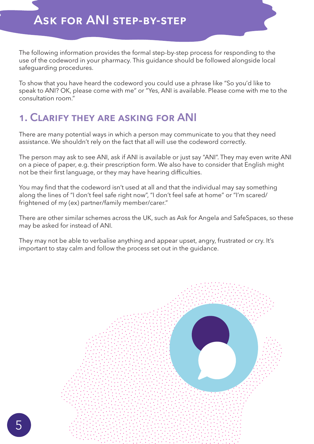The following information provides the formal step-by-step process for responding to the use of the codeword in your pharmacy. This guidance should be followed alongside local safeguarding procedures.

To show that you have heard the codeword you could use a phrase like "So you'd like to speak to ANI? OK, please come with me" or "Yes, ANI is available. Please come with me to the consultation room."

## 1. Clarify they are asking for ANI

There are many potential ways in which a person may communicate to you that they need assistance. We shouldn't rely on the fact that all will use the codeword correctly.

The person may ask to see ANI, ask if ANI is available or just say "ANI". They may even write ANI on a piece of paper, e.g. their prescription form. We also have to consider that English might not be their first language, or they may have hearing difficulties.

You may find that the codeword isn't used at all and that the individual may say something along the lines of "I don't feel safe right now", "I don't feel safe at home" or "I'm scared/ frightened of my (ex) partner/family member/carer."

There are other similar schemes across the UK, such as Ask for Angela and SafeSpaces, so these may be asked for instead of ANI.

They may not be able to verbalise anything and appear upset, angry, frustrated or cry. It's important to stay calm and follow the process set out in the guidance.

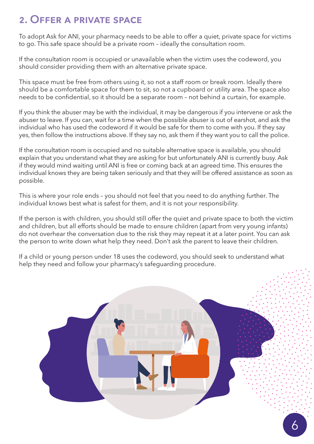## 2. Offer a private space

To adopt Ask for ANI, your pharmacy needs to be able to offer a quiet, private space for victims to go. This safe space should be a private room – ideally the consultation room.

If the consultation room is occupied or unavailable when the victim uses the codeword, you should consider providing them with an alternative private space.

This space must be free from others using it, so not a staff room or break room. Ideally there should be a comfortable space for them to sit, so not a cupboard or utility area. The space also needs to be confidential, so it should be a separate room – not behind a curtain, for example.

If you think the abuser may be with the individual, it may be dangerous if you intervene or ask the abuser to leave. If you can, wait for a time when the possible abuser is out of earshot, and ask the individual who has used the codeword if it would be safe for them to come with you. If they say yes, then follow the instructions above. If they say no, ask them if they want you to call the police.

If the consultation room is occupied and no suitable alternative space is available, you should explain that you understand what they are asking for but unfortunately ANI is currently busy. Ask if they would mind waiting until ANI is free or coming back at an agreed time. This ensures the individual knows they are being taken seriously and that they will be offered assistance as soon as possible.

This is where your role ends – you should not feel that you need to do anything further. The individual knows best what is safest for them, and it is not your responsibility.

If the person is with children, you should still offer the quiet and private space to both the victim and children, but all efforts should be made to ensure children (apart from very young infants) do not overhear the conversation due to the risk they may repeat it at a later point. You can ask the person to write down what help they need. Don't ask the parent to leave their children.

If a child or young person under 18 uses the codeword, you should seek to understand what help they need and follow your pharmacy's safeguarding procedure.

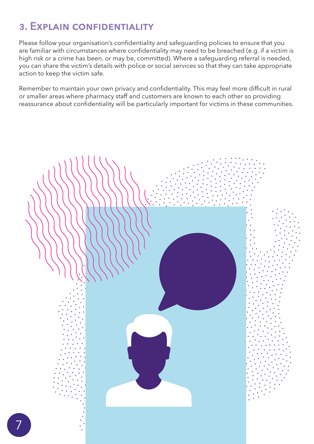## 3. Explain confidentiality

Please follow your organisation's confidentiality and safeguarding policies to ensure that you are familiar with circumstances where confidentiality may need to be breached (e.g. if a victim is high risk or a crime has been, or may be, committed). Where a safeguarding referral is needed, you can share the victim's details with police or social services so that they can take appropriate action to keep the victim safe.

Remember to maintain your own privacy and confidentiality. This may feel more difficult in rural or smaller areas where pharmacy staff and customers are known to each other so providing reassurance about confidentiality will be particularly important for victims in these communities.

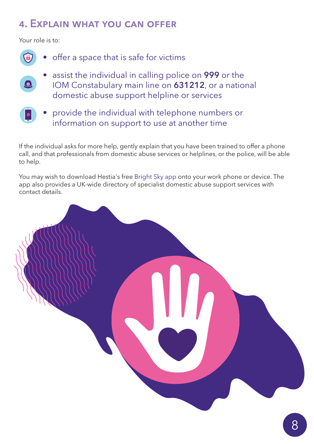### 4. Explain what you can offer

Your role is to:

- offer a space that is safe for victims
	- assist the individual in calling police on 999 or the IOM Constabulary main line on 631212, or a national domestic abuse support helpline or services
- provide the individual with telephone numbers or  $\bullet$ information on support to use at another time

If the individual asks for more help, gently explain that you have been trained to offer a phone call, and that professionals from domestic abuse services or helplines, or the police, will be able to help.

You may wish to download Hestia's free [Bright Sky app](https://www.hestia.org/brightsky) onto your work phone or device. The app also provides a UK-wide directory of specialist domestic abuse support services with contact details.

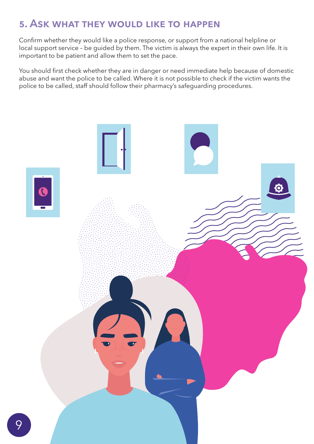### 5. Ask what they would like to happen

Confirm whether they would like a police response, or support from a national helpline or local support service – be guided by them. The victim is always the expert in their own life. It is important to be patient and allow them to set the pace.

You should first check whether they are in danger or need immediate help because of domestic abuse and want the police to be called. Where it is not possible to check if the victim wants the police to be called, staff should follow their pharmacy's safeguarding procedures.

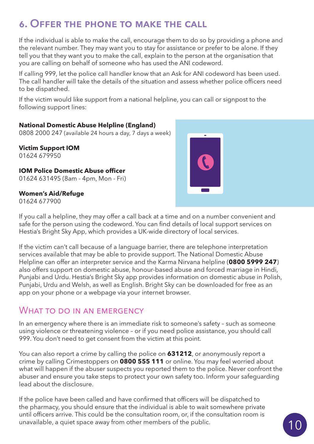## 6. Offer the phone to make the call

If the individual is able to make the call, encourage them to do so by providing a phone and the relevant number. They may want you to stay for assistance or prefer to be alone. If they tell you that they want you to make the call, explain to the person at the organisation that you are calling on behalf of someone who has used the ANI codeword.

If calling 999, let the police call handler know that an Ask for ANI codeword has been used. The call handler will take the details of the situation and assess whether police officers need to be dispatched.

If the victim would like support from a national helpline, you can call or signpost to the following support lines:

**National Domestic Abuse Helpline (England)** 0808 2000 247 (available 24 hours a day, 7 days a week)

**Victim Support IOM** 01624 679950

**IOM Police Domestic Abuse officer**  01624 631495 (8am - 4pm, Mon - Fri)

#### **Women's Aid/Refuge**

01624 677900



If you call a helpline, they may offer a call back at a time and on a number convenient and safe for the person using the codeword. You can find details of local support services on Hestia's Bright Sky App, which provides a UK-wide directory of local services.

If the victim can't call because of a language barrier, there are telephone interpretation services available that may be able to provide support. The National Domestic Abuse Helpline can offer an interpreter service and the Karma Nirvana helpline (**0800 5999 247**) also offers support on domestic abuse, honour-based abuse and forced marriage in Hindi, Punjabi and Urdu. Hestia's Bright Sky app provides information on domestic abuse in Polish, Punjabi, Urdu and Welsh, as well as English. Bright Sky can be downloaded for free as an app on your phone or a webpage via your internet browser.

### WHAT TO DO IN AN EMERGENCY

In an emergency where there is an immediate risk to someone's safety – such as someone using violence or threatening violence – or if you need police assistance, you should call 999. You don't need to get consent from the victim at this point.

You can also report a crime by calling the police on **631212**, or anonymously report a crime by calling Crimestoppers on **0800 555 111** or online. You may feel worried about what will happen if the abuser suspects you reported them to the police. Never confront the abuser and ensure you take steps to protect your own safety too. Inform your safeguarding lead about the disclosure.

If the police have been called and have confirmed that officers will be dispatched to the pharmacy, you should ensure that the individual is able to wait somewhere private until officers arrive. This could be the consultation room, or, if the consultation room is unavailable, a quiet space away from other members of the public.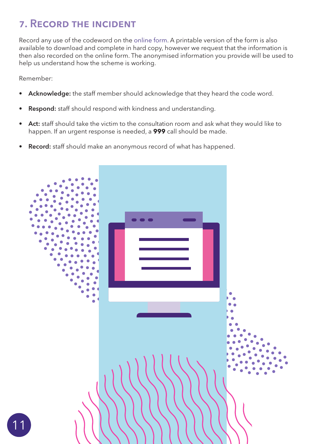## 7. Record the incident

Record any use of the codeword on the [online form](https://www.gov.uk/government/collections/ask-for-ani-domestic-abuse-codeword-scheme-pharmacy-materials). A printable version of the form is also available to download and complete in hard copy, however we request that the information is then also recorded on the online form. The anonymised information you provide will be used to help us understand how the scheme is working.

Remember:

- Acknowledge: the staff member should acknowledge that they heard the code word.
- Respond: staff should respond with kindness and understanding.
- Act: staff should take the victim to the consultation room and ask what they would like to happen. If an urgent response is needed, a **999** call should be made.
- Record: staff should make an anonymous record of what has happened.

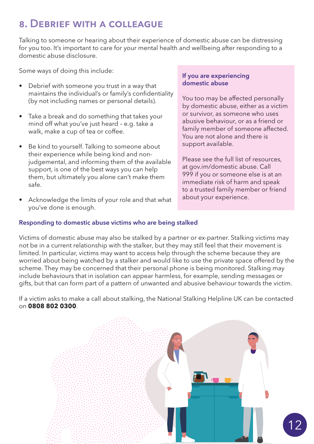### 8. Debrief with a colleague

Talking to someone or hearing about their experience of domestic abuse can be distressing for you too. It's important to care for your mental health and wellbeing after responding to a domestic abuse disclosure.

Some ways of doing this include:

- Debrief with someone you trust in a way that maintains the individual's or family's confidentiality (by not including names or personal details).
- Take a break and do something that takes your mind off what you've just heard – e.g. take a walk, make a cup of tea or coffee.
- Be kind to yourself. Talking to someone about their experience while being kind and nonjudgemental, and informing them of the available support, is one of the best ways you can help them, but ultimately you alone can't make them safe.
- Acknowledge the limits of your role and that what you've done is enough.

#### If you are experiencing domestic abuse

You too may be affected personally by domestic abuse, either as a victim or survivor, as someone who uses abusive behaviour, or as a friend or family member of someone affected. You are not alone and there is support available.

Please see the full list of resources, at gov.im/domestic abuse. Call 999 if you or someone else is at an immediate risk of harm and speak to a trusted family member or friend about your experience.

#### Responding to domestic abuse victims who are being stalked

Victims of domestic abuse may also be stalked by a partner or ex-partner. Stalking victims may not be in a current relationship with the stalker, but they may still feel that their movement is limited. In particular, victims may want to access help through the scheme because they are worried about being watched by a stalker and would like to use the private space offered by the scheme. They may be concerned that their personal phone is being monitored. Stalking may include behaviours that in isolation can appear harmless, for example, sending messages or gifts, but that can form part of a pattern of unwanted and abusive behaviour towards the victim.

If a victim asks to make a call about stalking, the National Stalking Helpline UK can be contacted on **0808 802 0300**.

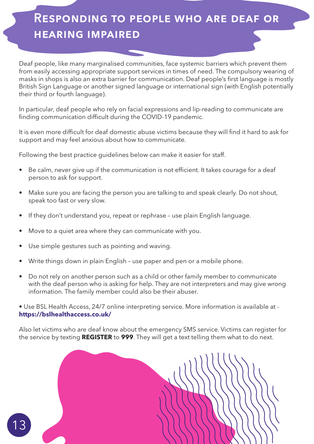# Responding to people who are deaf or hearing impaired

Deaf people, like many marginalised communities, face systemic barriers which prevent them from easily accessing appropriate support services in times of need. The compulsory wearing of masks in shops is also an extra barrier for communication. Deaf people's first language is mostly British Sign Language or another signed language or international sign (with English potentially their third or fourth language).

In particular, deaf people who rely on facial expressions and lip-reading to communicate are finding communication difficult during the COVID-19 pandemic.

It is even more difficult for deaf domestic abuse victims because they will find it hard to ask for support and may feel anxious about how to communicate.

Following the best practice guidelines below can make it easier for staff.

- Be calm, never give up if the communication is not efficient. It takes courage for a deaf person to ask for support.
- Make sure you are facing the person you are talking to and speak clearly. Do not shout, speak too fast or very slow.
- If they don't understand you, repeat or rephrase use plain English language.
- Move to a quiet area where they can communicate with you.
- Use simple gestures such as pointing and waving.
- Write things down in plain English use paper and pen or a mobile phone.
- Do not rely on another person such as a child or other family member to communicate with the deaf person who is asking for help. They are not interpreters and may give wrong information. The family member could also be their abuser.

• Use BSL Health Access, 24/7 online interpreting service. More information is available at **<https://bslhealthaccess.co.uk/>**

Also let victims who are deaf know about the emergency SMS service. Victims can register for the service by texting **REGISTER** to **999**. They will get a text telling them what to do next.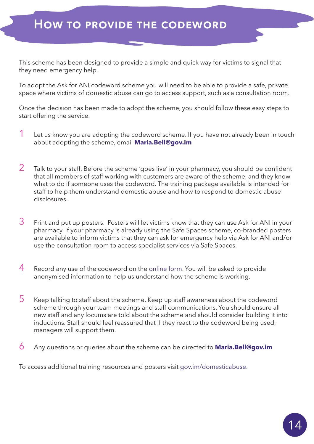This scheme has been designed to provide a simple and quick way for victims to signal that they need emergency help.

To adopt the Ask for ANI codeword scheme you will need to be able to provide a safe, private space where victims of domestic abuse can go to access support, such as a consultation room.

Once the decision has been made to adopt the scheme, you should follow these easy steps to start offering the service.

- 1 Let us know you are adopting the codeword scheme. If you have not already been in touch about adopting the scheme, email **[Maria.Bell@gov.im](mailto:Maria.Bell%40gov.im?subject=)**
- $2$  Talk to your staff. Before the scheme 'goes live' in your pharmacy, you should be confident that all members of staff working with customers are aware of the scheme, and they know what to do if someone uses the codeword. The training package available is intended for staff to help them understand domestic abuse and how to respond to domestic abuse disclosures.
- $3$  Print and put up posters. Posters will let victims know that they can use Ask for ANI in your pharmacy. If your pharmacy is already using the Safe Spaces scheme, co-branded posters are available to inform victims that they can ask for emergency help via Ask for ANI and/or use the consultation room to access specialist services via Safe Spaces.
- 4 Record any use of the codeword on the [online form](https://www.gov.uk/government/collections/ask-for-ani-domestic-abuse-codeword-scheme-pharmacy-materials). You will be asked to provide anonymised information to help us understand how the scheme is working.
- $5$  Keep talking to staff about the scheme. Keep up staff awareness about the codeword scheme through your team meetings and staff communications. You should ensure all new staff and any locums are told about the scheme and should consider building it into inductions. Staff should feel reassured that if they react to the codeword being used, managers will support them.
- 6 Any questions or queries about the scheme can be directed to **[Maria.Bell@gov.im](mailto:Maria.Bell%40gov.im?subject=)** 14

To access additional training resources and posters visit [gov.im/domesticabuse.](http://gov.im/domesticabuse)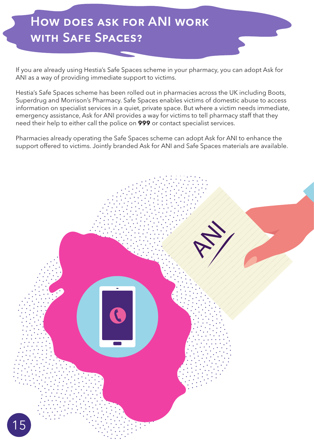# How does ask for ANI work with Safe Spaces?

If you are already using Hestia's Safe Spaces scheme in your pharmacy, you can adopt Ask for ANI as a way of providing immediate support to victims.

Hestia's Safe Spaces scheme has been rolled out in pharmacies across the UK including Boots, Superdrug and Morrison's Pharmacy. Safe Spaces enables victims of domestic abuse to access information on specialist services in a quiet, private space. But where a victim needs immediate, emergency assistance, Ask for ANI provides a way for victims to tell pharmacy staff that they need their help to either call the police on **999** or contact specialist services.

Pharmacies already operating the Safe Spaces scheme can adopt Ask for ANI to enhance the support offered to victims. Jointly branded Ask for ANI and Safe Spaces materials are available.

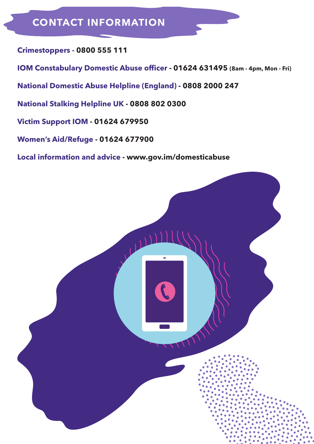## CONTACT INFORMATION

#### **Crimestoppers - 0800 555 111**

**IOM Constabulary Domestic Abuse officer - 01624 631495 (8am - 4pm, Mon - Fri)**

**National Domestic Abuse Helpline (England) - 0808 2000 247**

**National Stalking Helpline UK - 0808 802 0300**

**Victim Support IOM - 01624 679950**

**Women's Aid/Refuge - 01624 677900**

**Local information and advice - [www.gov.im/domesticabuse](http://www.gov.im/domesticabuse )**